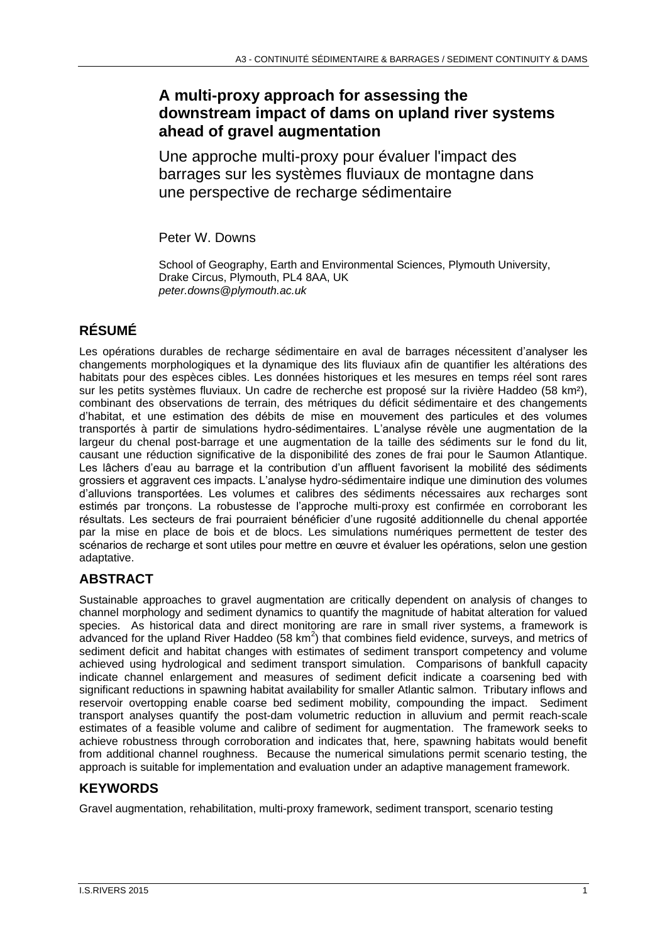### **A multi-proxy approach for assessing the downstream impact of dams on upland river systems ahead of gravel augmentation**

Une approche multi-proxy pour évaluer l'impact des barrages sur les systèmes fluviaux de montagne dans une perspective de recharge sédimentaire

Peter W. Downs

School of Geography, Earth and Environmental Sciences, Plymouth University, Drake Circus, Plymouth, PL4 8AA, UK *peter.downs@plymouth.ac.uk*

# **RÉSUMÉ**

Les opérations durables de recharge sédimentaire en aval de barrages nécessitent d'analyser les changements morphologiques et la dynamique des lits fluviaux afin de quantifier les altérations des habitats pour des espèces cibles. Les données historiques et les mesures en temps réel sont rares sur les petits systèmes fluviaux. Un cadre de recherche est proposé sur la rivière Haddeo (58 km²), combinant des observations de terrain, des métriques du déficit sédimentaire et des changements d'habitat, et une estimation des débits de mise en mouvement des particules et des volumes transportés à partir de simulations hydro-sédimentaires. L'analyse révèle une augmentation de la largeur du chenal post-barrage et une augmentation de la taille des sédiments sur le fond du lit, causant une réduction significative de la disponibilité des zones de frai pour le Saumon Atlantique. Les lâchers d'eau au barrage et la contribution d'un affluent favorisent la mobilité des sédiments grossiers et aggravent ces impacts. L'analyse hydro-sédimentaire indique une diminution des volumes d'alluvions transportées. Les volumes et calibres des sédiments nécessaires aux recharges sont estimés par tronçons. La robustesse de l'approche multi-proxy est confirmée en corroborant les résultats. Les secteurs de frai pourraient bénéficier d'une rugosité additionnelle du chenal apportée par la mise en place de bois et de blocs. Les simulations numériques permettent de tester des scénarios de recharge et sont utiles pour mettre en œuvre et évaluer les opérations, selon une gestion adaptative.

## **ABSTRACT**

Sustainable approaches to gravel augmentation are critically dependent on analysis of changes to channel morphology and sediment dynamics to quantify the magnitude of habitat alteration for valued species. As historical data and direct monitoring are rare in small river systems, a framework is advanced for the upland River Haddeo (58 km<sup>2</sup>) that combines field evidence, surveys, and metrics of sediment deficit and habitat changes with estimates of sediment transport competency and volume achieved using hydrological and sediment transport simulation. Comparisons of bankfull capacity indicate channel enlargement and measures of sediment deficit indicate a coarsening bed with significant reductions in spawning habitat availability for smaller Atlantic salmon. Tributary inflows and reservoir overtopping enable coarse bed sediment mobility, compounding the impact. Sediment transport analyses quantify the post-dam volumetric reduction in alluvium and permit reach-scale estimates of a feasible volume and calibre of sediment for augmentation. The framework seeks to achieve robustness through corroboration and indicates that, here, spawning habitats would benefit from additional channel roughness. Because the numerical simulations permit scenario testing, the approach is suitable for implementation and evaluation under an adaptive management framework.

## **KEYWORDS**

Gravel augmentation, rehabilitation, multi-proxy framework, sediment transport, scenario testing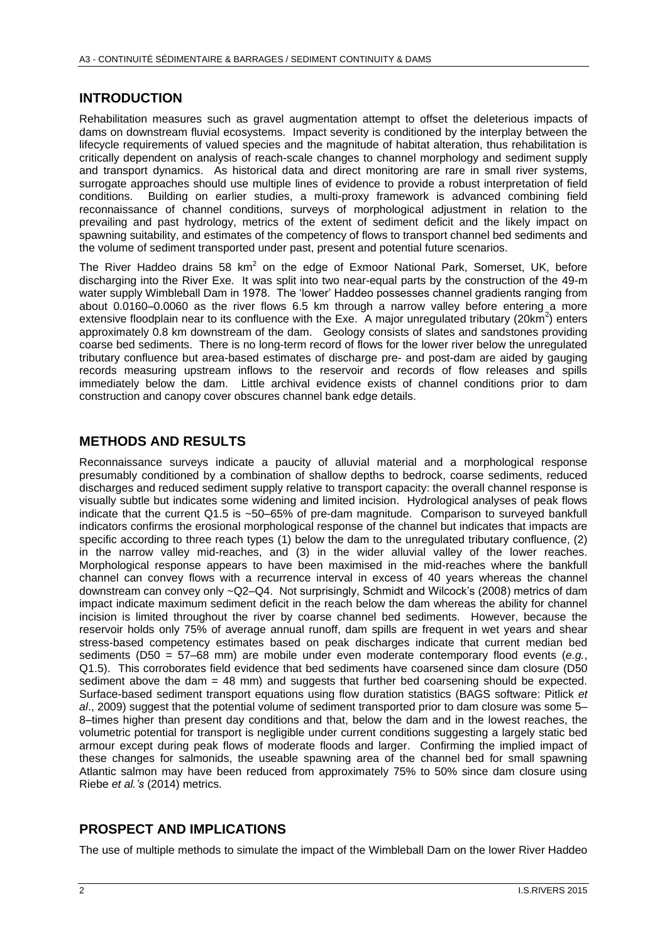### **INTRODUCTION**

Rehabilitation measures such as gravel augmentation attempt to offset the deleterious impacts of dams on downstream fluvial ecosystems. Impact severity is conditioned by the interplay between the lifecycle requirements of valued species and the magnitude of habitat alteration, thus rehabilitation is critically dependent on analysis of reach-scale changes to channel morphology and sediment supply and transport dynamics. As historical data and direct monitoring are rare in small river systems, surrogate approaches should use multiple lines of evidence to provide a robust interpretation of field conditions. Building on earlier studies, a multi-proxy framework is advanced combining field reconnaissance of channel conditions, surveys of morphological adjustment in relation to the prevailing and past hydrology, metrics of the extent of sediment deficit and the likely impact on spawning suitability, and estimates of the competency of flows to transport channel bed sediments and the volume of sediment transported under past, present and potential future scenarios.

The River Haddeo drains 58  $km^2$  on the edge of Exmoor National Park, Somerset, UK, before discharging into the River Exe. It was split into two near-equal parts by the construction of the 49-m water supply Wimbleball Dam in 1978. The 'lower' Haddeo possesses channel gradients ranging from about 0.0160–0.0060 as the river flows 6.5 km through a narrow valley before entering a more extensive floodplain near to its confluence with the Exe. A major unregulated tributary (20 $km^2$ ) enters approximately 0.8 km downstream of the dam. Geology consists of slates and sandstones providing coarse bed sediments. There is no long-term record of flows for the lower river below the unregulated tributary confluence but area-based estimates of discharge pre- and post-dam are aided by gauging records measuring upstream inflows to the reservoir and records of flow releases and spills immediately below the dam. Little archival evidence exists of channel conditions prior to dam construction and canopy cover obscures channel bank edge details.

#### **METHODS AND RESULTS**

Reconnaissance surveys indicate a paucity of alluvial material and a morphological response presumably conditioned by a combination of shallow depths to bedrock, coarse sediments, reduced discharges and reduced sediment supply relative to transport capacity: the overall channel response is visually subtle but indicates some widening and limited incision. Hydrological analyses of peak flows indicate that the current Q1.5 is ~50–65% of pre-dam magnitude. Comparison to surveyed bankfull indicators confirms the erosional morphological response of the channel but indicates that impacts are specific according to three reach types (1) below the dam to the unregulated tributary confluence, (2) in the narrow valley mid-reaches, and (3) in the wider alluvial valley of the lower reaches. Morphological response appears to have been maximised in the mid-reaches where the bankfull channel can convey flows with a recurrence interval in excess of 40 years whereas the channel downstream can convey only ~Q2–Q4. Not surprisingly, Schmidt and Wilcock's (2008) metrics of dam impact indicate maximum sediment deficit in the reach below the dam whereas the ability for channel incision is limited throughout the river by coarse channel bed sediments. However, because the reservoir holds only 75% of average annual runoff, dam spills are frequent in wet years and shear stress-based competency estimates based on peak discharges indicate that current median bed sediments (D50 = 57–68 mm) are mobile under even moderate contemporary flood events (*e.g.*, Q1.5). This corroborates field evidence that bed sediments have coarsened since dam closure (D50 sediment above the dam  $= 48$  mm) and suggests that further bed coarsening should be expected. Surface-based sediment transport equations using flow duration statistics (BAGS software: Pitlick *et al*., 2009) suggest that the potential volume of sediment transported prior to dam closure was some 5– 8–times higher than present day conditions and that, below the dam and in the lowest reaches, the volumetric potential for transport is negligible under current conditions suggesting a largely static bed armour except during peak flows of moderate floods and larger. Confirming the implied impact of these changes for salmonids, the useable spawning area of the channel bed for small spawning Atlantic salmon may have been reduced from approximately 75% to 50% since dam closure using Riebe *et al.'s* (2014) metrics.

### **PROSPECT AND IMPLICATIONS**

The use of multiple methods to simulate the impact of the Wimbleball Dam on the lower River Haddeo